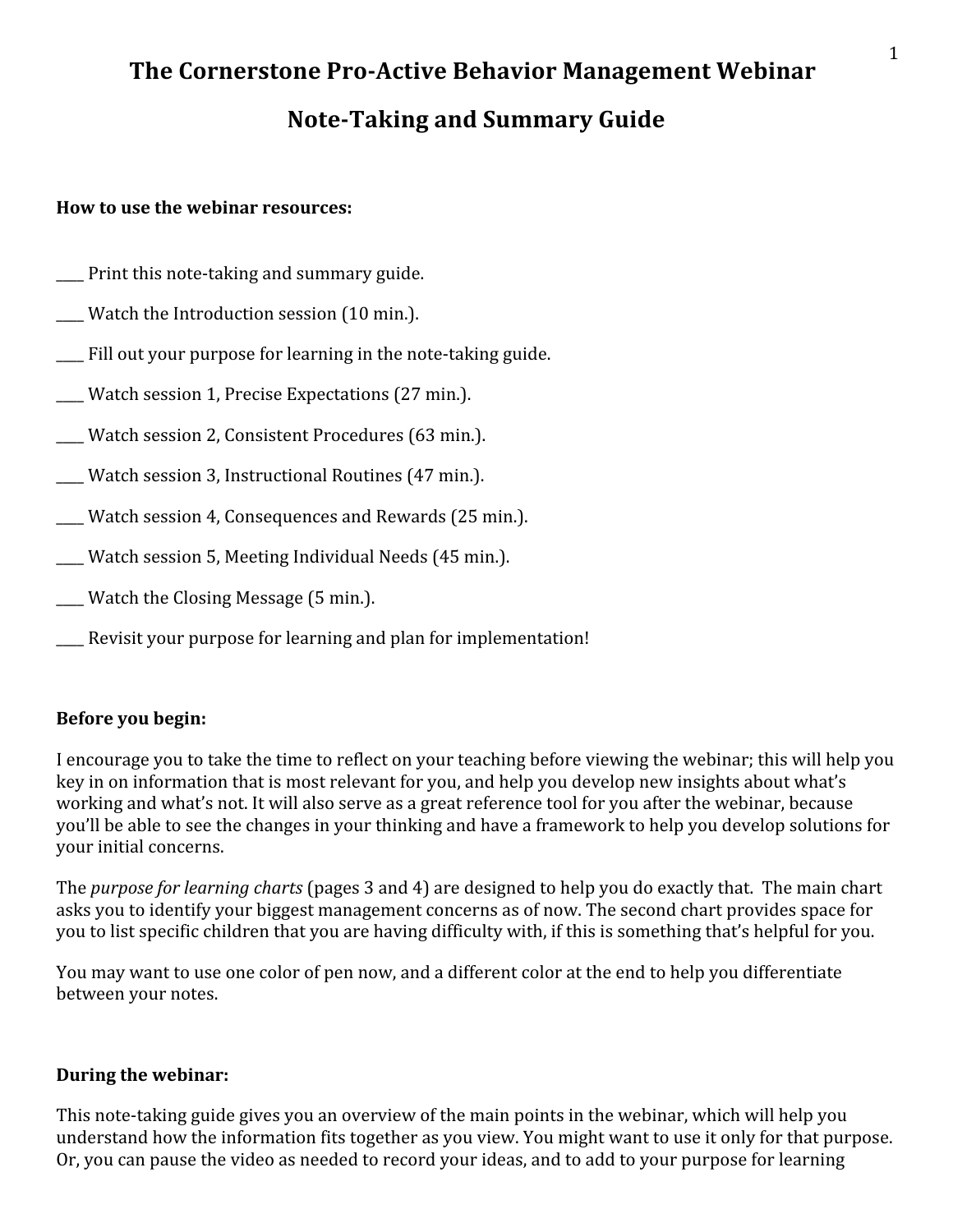# The Cornerstone Pro-Active Behavior Management Webinar **Note-Taking and Summary Guide**

#### **How
to
use
the
webinar
resources:**

- \_\_\_\_
Print
this
note‐taking
and
summary
guide.
- \_\_\_\_
Watch
the
Introduction
session
(10
min.).
- \_\_\_\_
Fill
out
your
purpose
for
learning
in
the
note‐taking
guide.
- Watch session 1, Precise Expectations (27 min.).
- \_\_\_\_
Watch
session
2,
Consistent
Procedures
(63
min.).
- Watch session 3, Instructional Routines (47 min.).
- Watch session 4, Consequences and Rewards (25 min.).

\_\_\_\_
Watch
session
5,
Meeting
Individual
Needs
(45
min.).

- \_\_\_\_
Watch
the
Closing
Message
(5
min.).
- \_\_\_\_
Revisit
your
purpose
for
learning
and
plan
for
implementation!

#### **Before
you
begin:**

I encourage you to take the time to reflect on your teaching before viewing the webinar; this will help you key in on information that is most relevant for you, and help you develop new insights about what's working and what's not. It will also serve as a great reference tool for you after the webinar, because you'll
be
able
to
see
the
changes
in
your
thinking
and
have
a
framework
to
help
you
develop
solutions
for your
initial
concerns.

The *purpose for learning charts* (pages 3 and 4) are designed to help you do exactly that. The main chart asks
you
to
identify
your
biggest
management
concerns
as
of
now.
The
second
chart
provides
space
for you to list specific children that you are having difficulty with, if this is something that's helpful for you.

You may want to use one color of pen now, and a different color at the end to help you differentiate between
your
notes.

#### **During
the
webinar:**

This note-taking guide gives you an overview of the main points in the webinar, which will help you understand how the information fits together as you view. You might want to use it only for that purpose. Or, you can pause the video as needed to record your ideas, and to add to your purpose for learning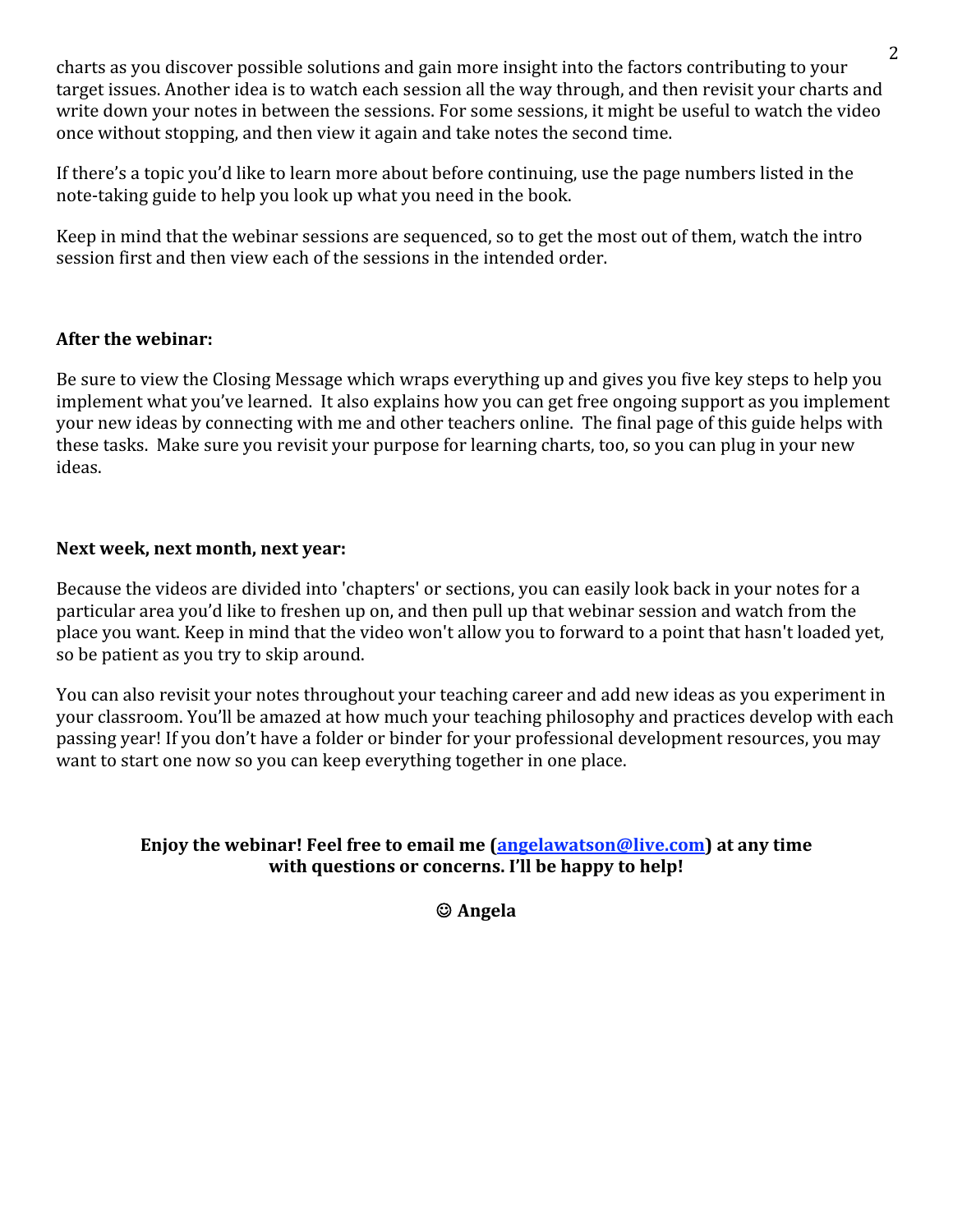charts
as
you
discover
possible
solutions
and
gain
more
insight
into
the
factors
contributing
to
your target issues. Another idea is to watch each session all the way through, and then revisit your charts and write down your notes in between the sessions. For some sessions, it might be useful to watch the video once without stopping, and then view it again and take notes the second time.

If there's a topic you'd like to learn more about before continuing, use the page numbers listed in the note-taking guide to help you look up what you need in the book.

Keep
in
mind
that
the
webinar
sessions
are
sequenced,
so
to
get
the
most
out
of
them,
watch
the
intro session first and then view each of the sessions in the intended order.

#### **After
the
webinar:**

Be sure to view the Closing Message which wraps everything up and gives you five key steps to help you implement what you've learned. It also explains how you can get free ongoing support as you implement your
new
ideas
by
connecting
with
me
and
other
teachers
online.

The
final
page
of
this
guide
helps
with these tasks. Make sure you revisit your purpose for learning charts, too, so you can plug in your new ideas.

#### Next week, next month, next vear:

Because the videos are divided into 'chapters' or sections, you can easily look back in your notes for a particular
area
you'd
like
to
freshen
up
on,
and
then
pull
up
that
webinar
session
and
watch
from
the place
you
want.
Keep
in
mind
that
the
video
won't
allow
you
to
forward
to
a
point
that
hasn't
loaded
yet, so
be
patient
as
you
try
to
skip
around.

You can also revisit your notes throughout your teaching career and add new ideas as you experiment in your classroom. You'll be amazed at how much your teaching philosophy and practices develop with each passing
year!
If
you
don't
have
a
folder
or
binder
for
your
professional
development
resources,
you
may want to start one now so you can keep everything together in one place.

#### Enjoy the webinar! Feel free to email me (**angelawatson@live.com**) at any time with questions or concerns. I'll be happy to help!

**Angela**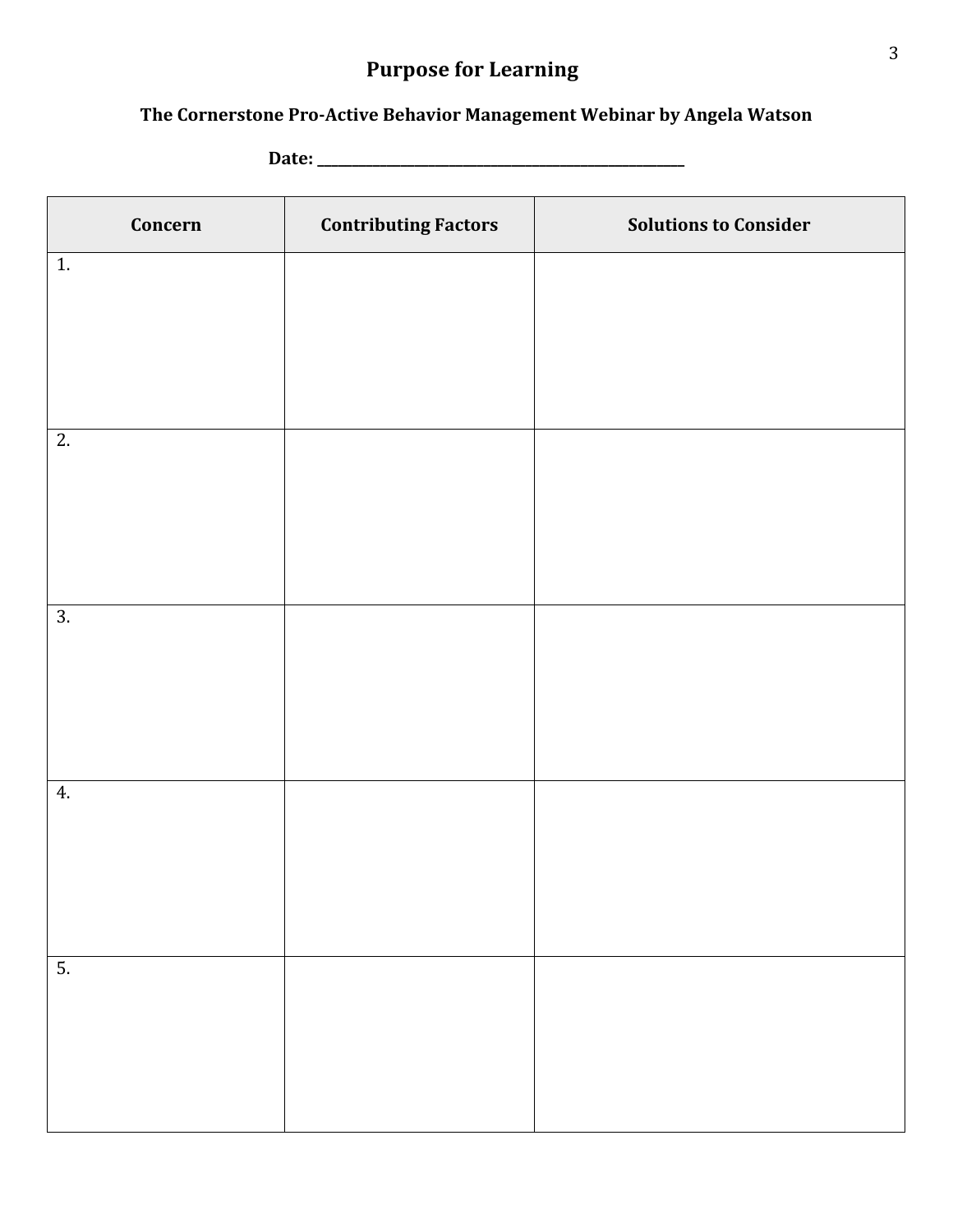## **Purpose
for
Learning**

### The Cornerstone Pro-Active Behavior Management Webinar by Angela Watson

**Date:
\_\_\_\_\_\_\_\_\_\_\_\_\_\_\_\_\_\_\_\_\_\_\_\_\_\_\_\_\_\_\_\_\_\_\_\_\_\_\_\_\_\_\_\_\_\_\_\_\_\_\_\_\_**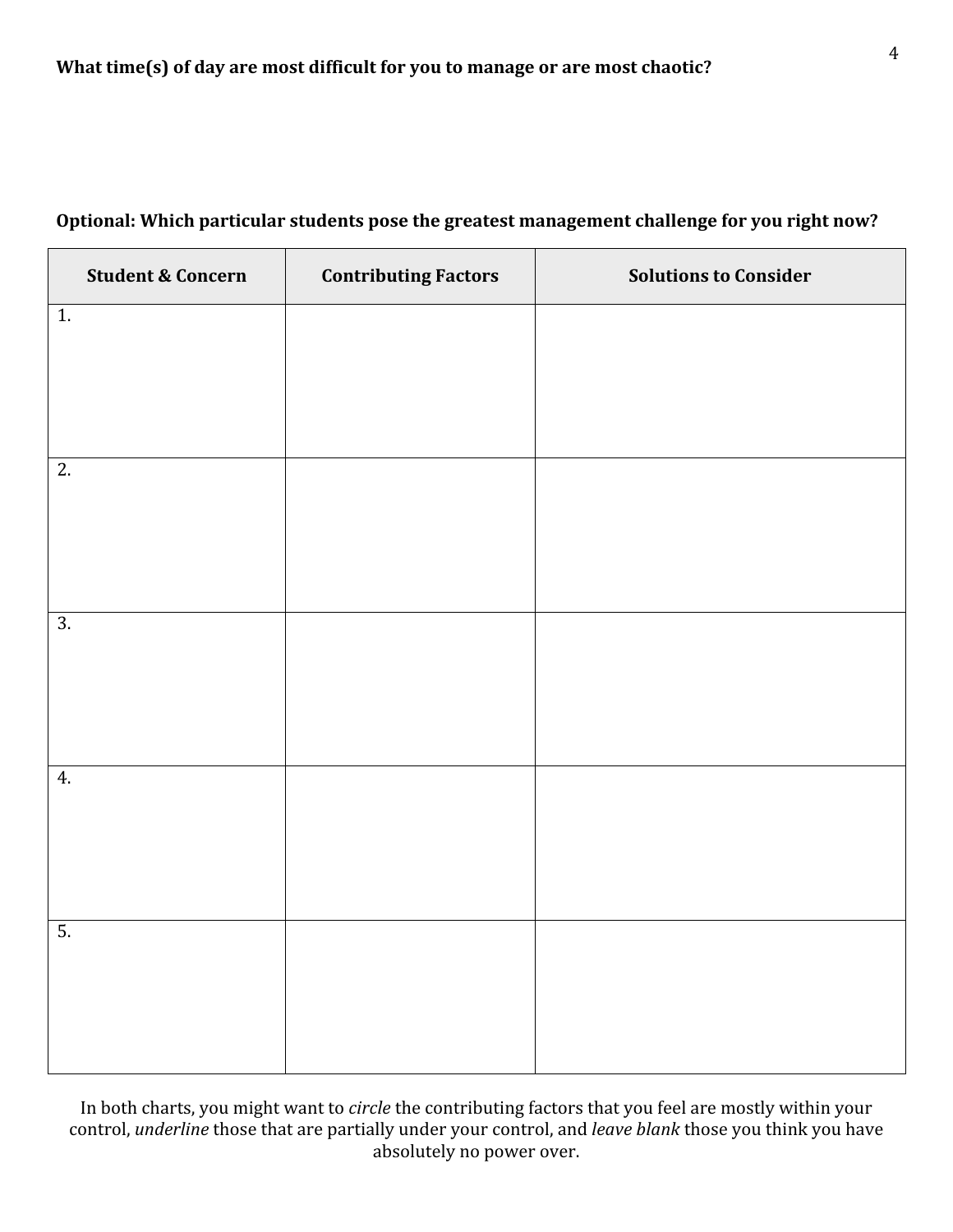| <b>Student &amp; Concern</b> | <b>Contributing Factors</b> | <b>Solutions to Consider</b> |
|------------------------------|-----------------------------|------------------------------|
| 1.                           |                             |                              |
|                              |                             |                              |
|                              |                             |                              |
| 2.                           |                             |                              |
|                              |                             |                              |
|                              |                             |                              |
| $\overline{3}$ .             |                             |                              |
|                              |                             |                              |
|                              |                             |                              |
| 4.                           |                             |                              |
|                              |                             |                              |
|                              |                             |                              |
| 5.                           |                             |                              |
|                              |                             |                              |
|                              |                             |                              |

### Optional: Which particular students pose the greatest management challenge for you right now?

In both charts, you might want to *circle* the contributing factors that you feel are mostly within your control, *underline* those that are partially under your control, and *leave blank* those you think you have absolutely
no
power
over.